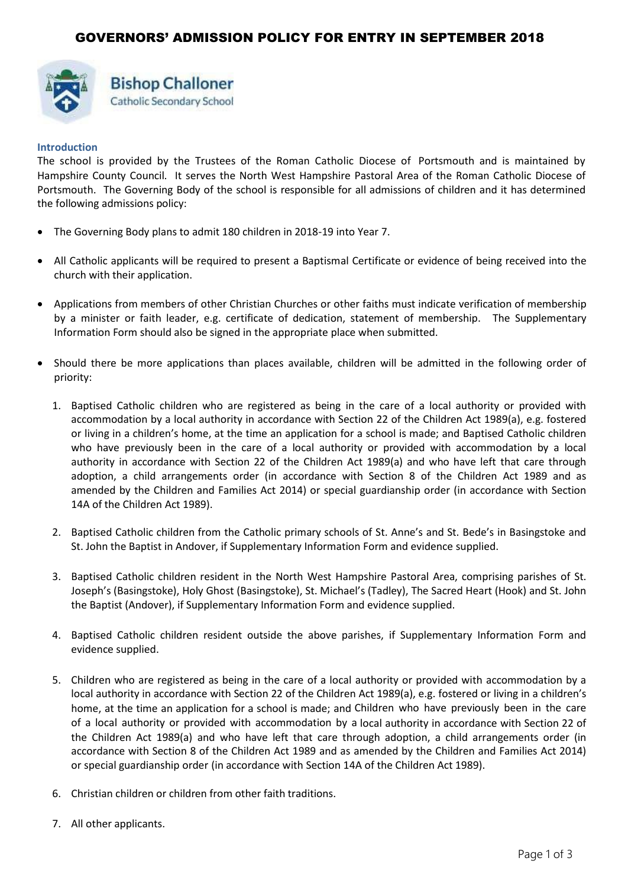

# **Bishop Challoner** Catholic Secondary School

### **Introduction**

The school is provided by the Trustees of the Roman Catholic Diocese of Portsmouth and is maintained by Hampshire County Council. It serves the North West Hampshire Pastoral Area of the Roman Catholic Diocese of Portsmouth. The Governing Body of the school is responsible for all admissions of children and it has determined the following admissions policy:

- The Governing Body plans to admit 180 children in 2018-19 into Year 7.
- All Catholic applicants will be required to present a Baptismal Certificate or evidence of being received into the church with their application.
- Applications from members of other Christian Churches or other faiths must indicate verification of membership by a minister or faith leader, e.g. certificate of dedication, statement of membership. The Supplementary Information Form should also be signed in the appropriate place when submitted.
- Should there be more applications than places available, children will be admitted in the following order of priority:
	- 1. Baptised Catholic children who are registered as being in the care of a local authority or provided with accommodation by a local authority in accordance with Section 22 of the Children Act 1989(a), e.g. fostered or living in a children's home, at the time an application for a school is made; and Baptised Catholic children who have previously been in the care of a local authority or provided with accommodation by a local authority in accordance with Section 22 of the Children Act 1989(a) and who have left that care through adoption, a child arrangements order (in accordance with Section 8 of the Children Act 1989 and as amended by the Children and Families Act 2014) or special guardianship order (in accordance with Section 14A of the Children Act 1989).
	- 2. Baptised Catholic children from the Catholic primary schools of St. Anne's and St. Bede's in Basingstoke and St. John the Baptist in Andover, if Supplementary Information Form and evidence supplied.
	- 3. Baptised Catholic children resident in the North West Hampshire Pastoral Area, comprising parishes of St. Joseph's (Basingstoke), Holy Ghost (Basingstoke), St. Michael's (Tadley), The Sacred Heart (Hook) and St. John the Baptist (Andover), if Supplementary Information Form and evidence supplied.
	- 4. Baptised Catholic children resident outside the above parishes, if Supplementary Information Form and evidence supplied.
	- 5. Children who are registered as being in the care of a local authority or provided with accommodation by a local authority in accordance with Section 22 of the Children Act 1989(a), e.g. fostered or living in a children's home, at the time an application for a school is made; and Children who have previously been in the care of a local authority or provided with accommodation by a local authority in accordance with Section 22 of the Children Act 1989(a) and who have left that care through adoption, a child arrangements order (in accordance with Section 8 of the Children Act 1989 and as amended by the Children and Families Act 2014) or special guardianship order (in accordance with Section 14A of the Children Act 1989).
	- 6. Christian children or children from other faith traditions.
	- 7. All other applicants.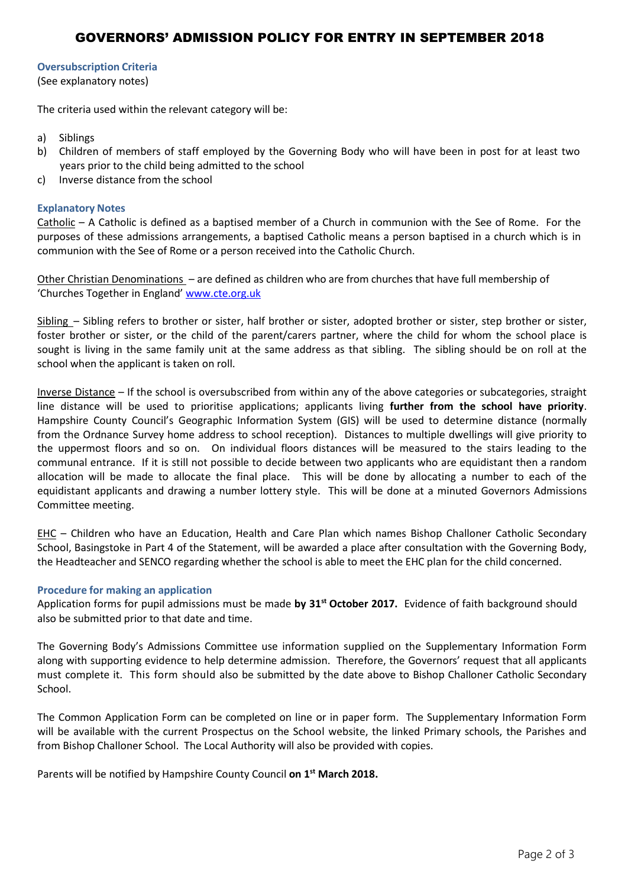# GOVERNORS' ADMISSION POLICY FOR ENTRY IN SEPTEMBER 2018

### **Oversubscription Criteria**

(See explanatory notes)

The criteria used within the relevant category will be:

- a) Siblings
- b) Children of members of staff employed by the Governing Body who will have been in post for at least two years prior to the child being admitted to the school
- c) Inverse distance from the school

#### **Explanatory Notes**

Catholic – A Catholic is defined as a baptised member of a Church in communion with the See of Rome. For the purposes of these admissions arrangements, a baptised Catholic means a person baptised in a church which is in communion with the See of Rome or a person received into the Catholic Church.

Other Christian Denominations – are defined as children who are from churches that have full membership of 'Churches Together in England' [www.cte.org.uk](http://www.cte.org.uk/)

Sibling – Sibling refers to brother or sister, half brother or sister, adopted brother or sister, step brother or sister, foster brother or sister, or the child of the parent/carers partner, where the child for whom the school place is sought is living in the same family unit at the same address as that sibling. The sibling should be on roll at the school when the applicant is taken on roll.

Inverse Distance – If the school is oversubscribed from within any of the above categories or subcategories, straight line distance will be used to prioritise applications; applicants living **further from the school have priority**. Hampshire County Council's Geographic Information System (GIS) will be used to determine distance (normally from the Ordnance Survey home address to school reception). Distances to multiple dwellings will give priority to the uppermost floors and so on. On individual floors distances will be measured to the stairs leading to the communal entrance. If it is still not possible to decide between two applicants who are equidistant then a random allocation will be made to allocate the final place. This will be done by allocating a number to each of the equidistant applicants and drawing a number lottery style. This will be done at a minuted Governors Admissions Committee meeting.

EHC – Children who have an Education, Health and Care Plan which names Bishop Challoner Catholic Secondary School, Basingstoke in Part 4 of the Statement, will be awarded a place after consultation with the Governing Body, the Headteacher and SENCO regarding whether the school is able to meet the EHC plan for the child concerned.

#### **Procedure for making an application**

Application forms for pupil admissions must be made **by 31st October 2017.** Evidence of faith background should also be submitted prior to that date and time.

The Governing Body's Admissions Committee use information supplied on the Supplementary Information Form along with supporting evidence to help determine admission. Therefore, the Governors' request that all applicants must complete it. This form should also be submitted by the date above to Bishop Challoner Catholic Secondary School.

The Common Application Form can be completed on line or in paper form. The Supplementary Information Form will be available with the current Prospectus on the School website, the linked Primary schools, the Parishes and from Bishop Challoner School. The Local Authority will also be provided with copies.

Parents will be notified by Hampshire County Council **on 1 st March 2018.**